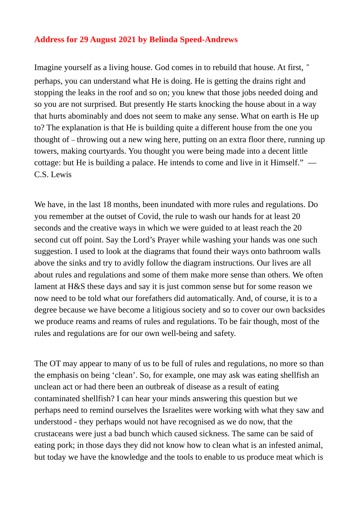## **Address for 29 August 2021 by Belinda Speed-Andrews**

Imagine yourself as a living house. God comes in to rebuild that house. At first, " perhaps, you can understand what He is doing. He is getting the drains right and stopping the leaks in the roof and so on; you knew that those jobs needed doing and so you are not surprised. But presently He starts knocking the house about in a way that hurts abominably and does not seem to make any sense. What on earth is He up to? The explanation is that He is building quite a different house from the one you thought of – throwing out a new wing here, putting on an extra floor there, running up towers, making courtyards. You thought you were being made into a decent little cottage: but He is building a palace. He intends to come and live in it Himself." — C.S. Lewis

We have, in the last 18 months, been inundated with more rules and regulations. Do you remember at the outset of Covid, the rule to wash our hands for at least 20 seconds and the creative ways in which we were guided to at least reach the 20 second cut off point. Say the Lord's Prayer while washing your hands was one such suggestion. I used to look at the diagrams that found their ways onto bathroom walls above the sinks and try to avidly follow the diagram instructions. Our lives are all about rules and regulations and some of them make more sense than others. We often lament at H&S these days and say it is just common sense but for some reason we now need to be told what our forefathers did automatically. And, of course, it is to a degree because we have become a litigious society and so to cover our own backsides we produce reams and reams of rules and regulations. To be fair though, most of the rules and regulations are for our own well-being and safety.

The OT may appear to many of us to be full of rules and regulations, no more so than the emphasis on being 'clean'. So, for example, one may ask was eating shellfish an unclean act or had there been an outbreak of disease as a result of eating contaminated shellfish? I can hear your minds answering this question but we perhaps need to remind ourselves the Israelites were working with what they saw and understood - they perhaps would not have recognised as we do now, that the crustaceans were just a bad bunch which caused sickness. The same can be said of eating pork; in those days they did not know how to clean what is an infested animal, but today we have the knowledge and the tools to enable to us produce meat which is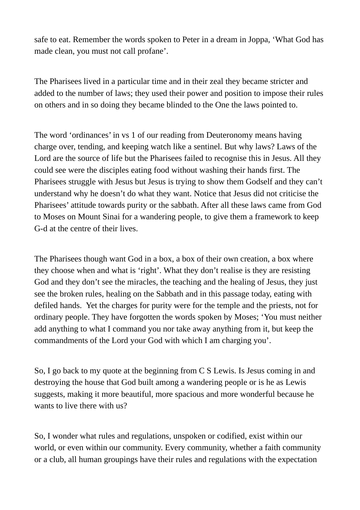safe to eat. Remember the words spoken to Peter in a dream in Joppa, 'What God has made clean, you must not call profane'.

The Pharisees lived in a particular time and in their zeal they became stricter and added to the number of laws; they used their power and position to impose their rules on others and in so doing they became blinded to the One the laws pointed to.

The word 'ordinances' in vs 1 of our reading from Deuteronomy means having charge over, tending, and keeping watch like a sentinel. But why laws? Laws of the Lord are the source of life but the Pharisees failed to recognise this in Jesus. All they could see were the disciples eating food without washing their hands first. The Pharisees struggle with Jesus but Jesus is trying to show them Godself and they can't understand why he doesn't do what they want. Notice that Jesus did not criticise the Pharisees' attitude towards purity or the sabbath. After all these laws came from God to Moses on Mount Sinai for a wandering people, to give them a framework to keep G-d at the centre of their lives.

The Pharisees though want God in a box, a box of their own creation, a box where they choose when and what is 'right'. What they don't realise is they are resisting God and they don't see the miracles, the teaching and the healing of Jesus, they just see the broken rules, healing on the Sabbath and in this passage today, eating with defiled hands. Yet the charges for purity were for the temple and the priests, not for ordinary people. They have forgotten the words spoken by Moses; 'You must neither add anything to what I command you nor take away anything from it, but keep the commandments of the Lord your God with which I am charging you'.

So, I go back to my quote at the beginning from C S Lewis. Is Jesus coming in and destroying the house that God built among a wandering people or is he as Lewis suggests, making it more beautiful, more spacious and more wonderful because he wants to live there with us?

So, I wonder what rules and regulations, unspoken or codified, exist within our world, or even within our community. Every community, whether a faith community or a club, all human groupings have their rules and regulations with the expectation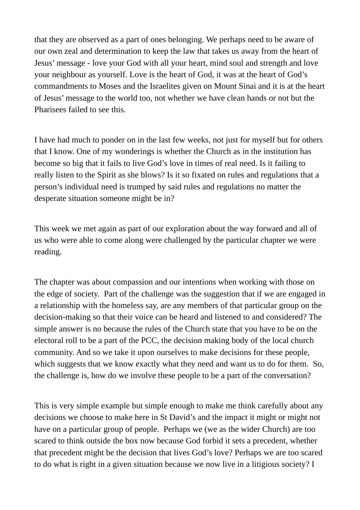that they are observed as a part of ones belonging. We perhaps need to be aware of our own zeal and determination to keep the law that takes us away from the heart of Jesus' message - love your God with all your heart, mind soul and strength and love your neighbour as yourself. Love is the heart of God, it was at the heart of God's commandments to Moses and the Israelites given on Mount Sinai and it is at the heart of Jesus' message to the world too, not whether we have clean hands or not but the Pharisees failed to see this.

I have had much to ponder on in the last few weeks, not just for myself but for others that I know. One of my wonderings is whether the Church as in the institution has become so big that it fails to live God's love in times of real need. Is it failing to really listen to the Spirit as she blows? Is it so fixated on rules and regulations that a person's individual need is trumped by said rules and regulations no matter the desperate situation someone might be in?

This week we met again as part of our exploration about the way forward and all of us who were able to come along were challenged by the particular chapter we were reading.

The chapter was about compassion and our intentions when working with those on the edge of society. Part of the challenge was the suggestion that if we are engaged in a relationship with the homeless say, are any members of that particular group on the decision-making so that their voice can be heard and listened to and considered? The simple answer is no because the rules of the Church state that you have to be on the electoral roll to be a part of the PCC, the decision making body of the local church community. And so we take it upon ourselves to make decisions for these people, which suggests that we know exactly what they need and want us to do for them. So, the challenge is, how do we involve these people to be a part of the conversation?

This is very simple example but simple enough to make me think carefully about any decisions we choose to make here in St David's and the impact it might or might not have on a particular group of people. Perhaps we (we as the wider Church) are too scared to think outside the box now because God forbid it sets a precedent, whether that precedent might be the decision that lives God's love? Perhaps we are too scared to do what is right in a given situation because we now live in a litigious society? I